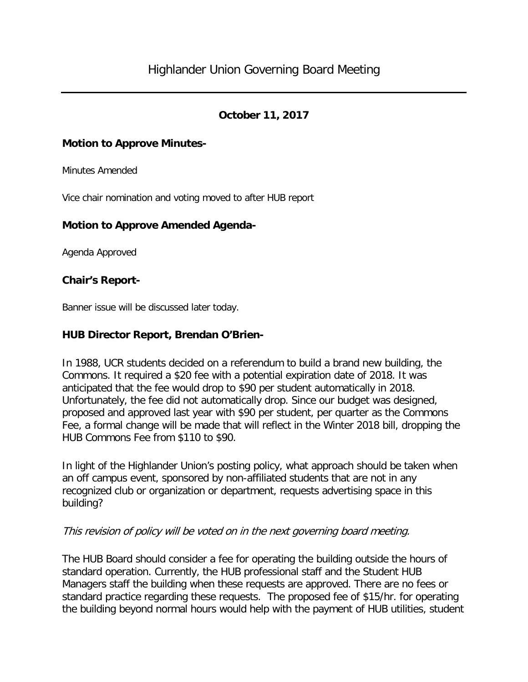# **October 11, 2017**

#### **Motion to Approve Minutes-**

Minutes Amended

Vice chair nomination and voting moved to after HUB report

#### **Motion to Approve Amended Agenda-**

Agenda Approved

#### **Chair's Report-**

Banner issue will be discussed later today.

#### **HUB Director Report, Brendan O'Brien-**

In 1988, UCR students decided on a referendum to build a brand new building, the Commons. It required a \$20 fee with a potential expiration date of 2018. It was anticipated that the fee would drop to \$90 per student automatically in 2018. Unfortunately, the fee did not automatically drop. Since our budget was designed, proposed and approved last year with \$90 per student, per quarter as the Commons Fee, a formal change will be made that will reflect in the Winter 2018 bill, dropping the HUB Commons Fee from \$110 to \$90.

In light of the Highlander Union's posting policy, what approach should be taken when an off campus event, sponsored by non-affiliated students that are not in any recognized club or organization or department, requests advertising space in this building?

#### This revision of policy will be voted on in the next governing board meeting.

The HUB Board should consider a fee for operating the building outside the hours of standard operation. Currently, the HUB professional staff and the Student HUB Managers staff the building when these requests are approved. There are no fees or standard practice regarding these requests. The proposed fee of \$15/hr. for operating the building beyond normal hours would help with the payment of HUB utilities, student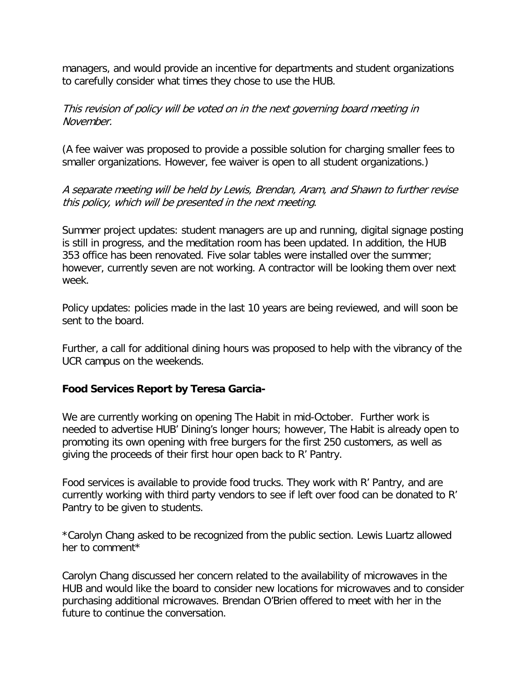managers, and would provide an incentive for departments and student organizations to carefully consider what times they chose to use the HUB.

### This revision of policy will be voted on in the next governing board meeting in November.

(A fee waiver was proposed to provide a possible solution for charging smaller fees to smaller organizations. However, fee waiver is open to all student organizations.)

## A separate meeting will be held by Lewis, Brendan, Aram, and Shawn to further revise this policy, which will be presented in the next meeting.

Summer project updates: student managers are up and running, digital signage posting is still in progress, and the meditation room has been updated. In addition, the HUB 353 office has been renovated. Five solar tables were installed over the summer; however, currently seven are not working. A contractor will be looking them over next week.

Policy updates: policies made in the last 10 years are being reviewed, and will soon be sent to the board.

Further, a call for additional dining hours was proposed to help with the vibrancy of the UCR campus on the weekends.

## **Food Services Report by Teresa Garcia-**

We are currently working on opening The Habit in mid-October. Further work is needed to advertise HUB' Dining's longer hours; however, The Habit is already open to promoting its own opening with free burgers for the first 250 customers, as well as giving the proceeds of their first hour open back to R' Pantry.

Food services is available to provide food trucks. They work with R' Pantry, and are currently working with third party vendors to see if left over food can be donated to R' Pantry to be given to students.

\*Carolyn Chang asked to be recognized from the public section. Lewis Luartz allowed her to comment\*

Carolyn Chang discussed her concern related to the availability of microwaves in the HUB and would like the board to consider new locations for microwaves and to consider purchasing additional microwaves. Brendan O'Brien offered to meet with her in the future to continue the conversation.